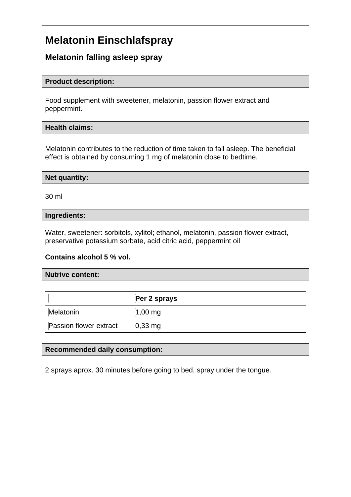# **Melatonin Einschlafspray**

## **Melatonin falling asleep spray**

#### **Product description:**

Food supplement with sweetener, melatonin, passion flower extract and peppermint.

### **Health claims:**

Melatonin contributes to the reduction of time taken to fall asleep. The beneficial effect is obtained by consuming 1 mg of melatonin close to bedtime.

### **Net quantity:**

30 ml

### **Ingredients:**

Water, sweetener: sorbitols, xylitol; ethanol, melatonin, passion flower extract, preservative potassium sorbate, acid citric acid, peppermint oil

## **Contains alcohol 5 % vol.**

#### **Nutrive content:**

|                               | Per 2 sprays        |
|-------------------------------|---------------------|
| Melatonin                     | $1,00 \, \text{mg}$ |
| <b>Passion flower extract</b> | $0,33$ mg           |

## **Recommended daily consumption:**

2 sprays aprox. 30 minutes before going to bed, spray under the tongue.